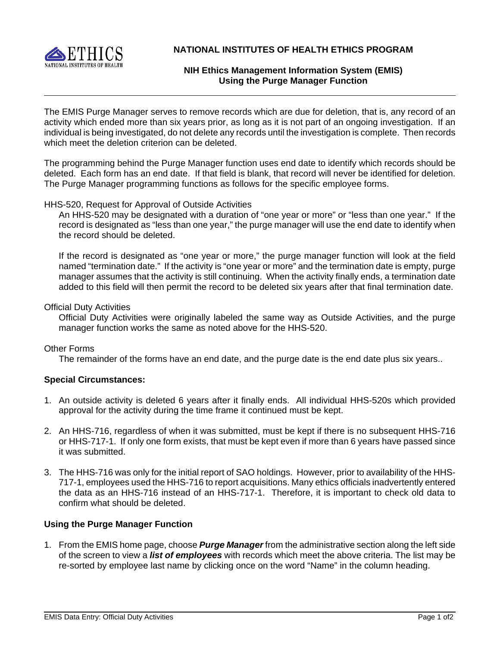

**NATIONAL INSTITUTES OF HEALTH ETHICS PROGRAM**

# **NIH Ethics Management Information System (EMIS) Using the Purge Manager Function**

The EMIS Purge Manager serves to remove records which are due for deletion, that is, any record of an activity which ended more than six years prior, as long as it is not part of an ongoing investigation. If an individual is being investigated, do not delete any records until the investigation is complete. Then records which meet the deletion criterion can be deleted.

The programming behind the Purge Manager function uses end date to identify which records should be deleted. Each form has an end date. If that field is blank, that record will never be identified for deletion. The Purge Manager programming functions as follows for the specific employee forms.

## HHS-520, Request for Approval of Outside Activities

An HHS-520 may be designated with a duration of "one year or more" or "less than one year." If the record is designated as "less than one year," the purge manager will use the end date to identify when the record should be deleted.

 manager assumes that the activity is still continuing. When the activity finally ends, a termination date If the record is designated as "one year or more," the purge manager function will look at the field named "termination date." If the activity is "one year or more" and the termination date is empty, purge added to this field will then permit the record to be deleted six years after that final termination date.

#### Official Duty Activities

Official Duty Activities were originally labeled the same way as Outside Activities, and the purge manager function works the same as noted above for the HHS-520.

## Other Forms

The remainder of the forms have an end date, and the purge date is the end date plus six years..

## **Special Circumstances:**

- 1. An outside activity is deleted 6 years after it finally ends. All individual HHS-520s which provided approval for the activity during the time frame it continued must be kept.
- 2. An HHS-716, regardless of when it was submitted, must be kept if there is no subsequent HHS-716 or HHS-717-1. If only one form exists, that must be kept even if more than 6 years have passed since it was submitted.
- 3. The HHS-716 was only for the initial report of SAO holdings. However, prior to availability of the HHS-717-1, employees used the HHS-716 to report acquisitions. Many ethics officials inadvertently entered the data as an HHS-716 instead of an HHS-717-1. Therefore, it is important to check old data to confirm what should be deleted.

## **Using the Purge Manager Function**

1. From the EMIS home page, choose **Purge Manager** from the administrative section along the left side of the screen to view a *list of employees* with records which meet the above criteria. The list may be re-sorted by employee last name by clicking once on the word "Name" in the column heading.